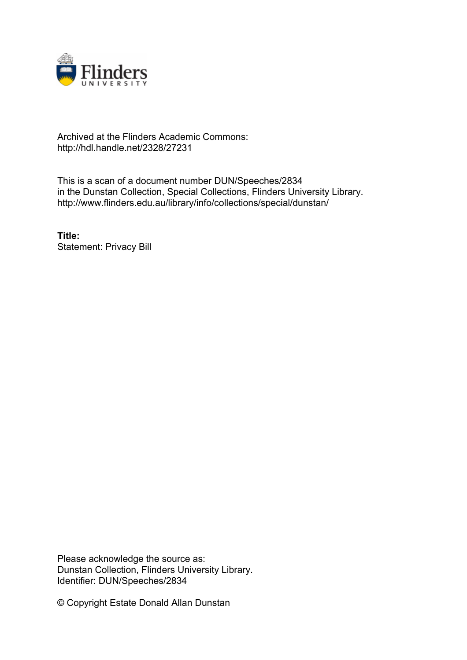

## Archived at the Flinders Academic Commons: http://hdl.handle.net/2328/27231

This is a scan of a document number DUN/Speeches/2834 in the Dunstan Collection, Special Collections, Flinders University Library. http://www.flinders.edu.au/library/info/collections/special/dunstan/

**Title:** Statement: Privacy Bill

Please acknowledge the source as: Dunstan Collection, Flinders University Library. Identifier: DUN/Speeches/2834

© Copyright Estate Donald Allan Dunstan